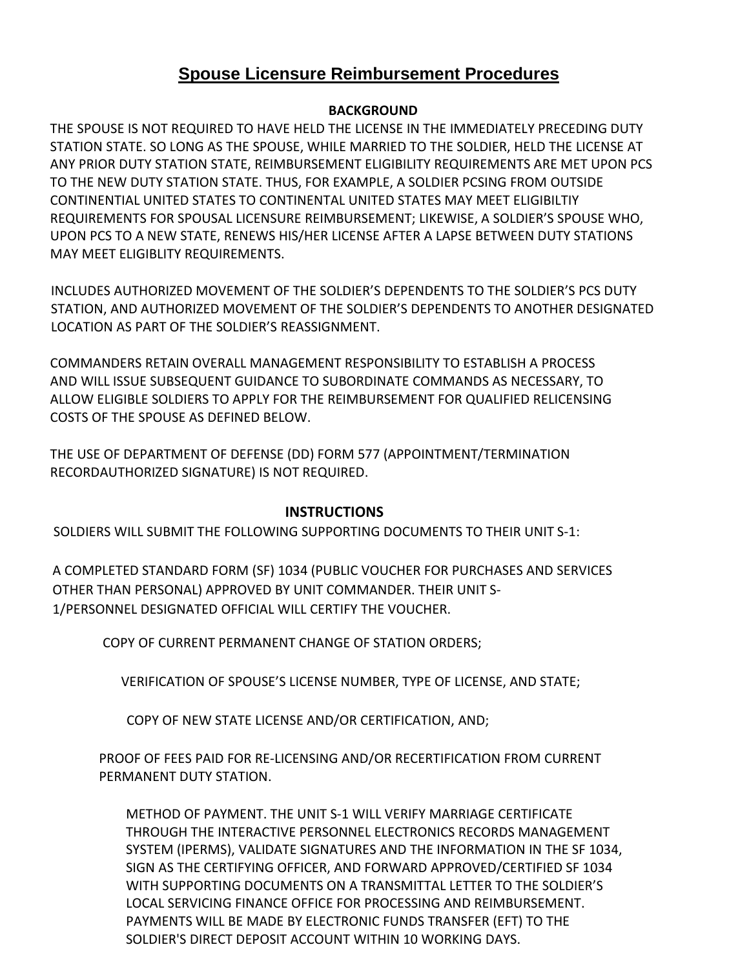## **Spouse Licensure Reimbursement Procedures**

## **BACKGROUND**

THE SPOUSE IS NOT REQUIRED TO HAVE HELD THE LICENSE IN THE IMMEDIATELY PRECEDING DUTY STATION STATE. SO LONG AS THE SPOUSE, WHILE MARRIED TO THE SOLDIER, HELD THE LICENSE AT ANY PRIOR DUTY STATION STATE, REIMBURSEMENT ELIGIBILITY REQUIREMENTS ARE MET UPON PCS TO THE NEW DUTY STATION STATE. THUS, FOR EXAMPLE, A SOLDIER PCSING FROM OUTSIDE CONTINENTIAL UNITED STATES TO CONTINENTAL UNITED STATES MAY MEET ELIGIBILTIY REQUIREMENTS FOR SPOUSAL LICENSURE REIMBURSEMENT; LIKEWISE, A SOLDIER'S SPOUSE WHO, UPON PCS TO A NEW STATE, RENEWS HIS/HER LICENSE AFTER A LAPSE BETWEEN DUTY STATIONS MAY MEET ELIGIBLITY REQUIREMENTS.

INCLUDES AUTHORIZED MOVEMENT OF THE SOLDIER'S DEPENDENTS TO THE SOLDIER'S PCS DUTY STATION, AND AUTHORIZED MOVEMENT OF THE SOLDIER'S DEPENDENTS TO ANOTHER DESIGNATED LOCATION AS PART OF THE SOLDIER'S REASSIGNMENT.

COMMANDERS RETAIN OVERALL MANAGEMENT RESPONSIBILITY TO ESTABLISH A PROCESS AND WILL ISSUE SUBSEQUENT GUIDANCE TO SUBORDINATE COMMANDS AS NECESSARY, TO ALLOW ELIGIBLE SOLDIERS TO APPLY FOR THE REIMBURSEMENT FOR QUALIFIED RELICENSING COSTS OF THE SPOUSE AS DEFINED BELOW.

THE USE OF DEPARTMENT OF DEFENSE (DD) FORM 577 (APPOINTMENT/TERMINATION RECORDAUTHORIZED SIGNATURE) IS NOT REQUIRED.

## **INSTRUCTIONS**

SOLDIERS WILL SUBMIT THE FOLLOWING SUPPORTING DOCUMENTS TO THEIR UNIT S-1:

A COMPLETED STANDARD FORM (SF) 1034 (PUBLIC VOUCHER FOR PURCHASES AND SERVICES OTHER THAN PERSONAL) APPROVED BY UNIT COMMANDER. THEIR UNIT S-1/PERSONNEL DESIGNATED OFFICIAL WILL CERTIFY THE VOUCHER.

COPY OF CURRENT PERMANENT CHANGE OF STATION ORDERS;

VERIFICATION OF SPOUSE'S LICENSE NUMBER, TYPE OF LICENSE, AND STATE;

COPY OF NEW STATE LICENSE AND/OR CERTIFICATION, AND;

PROOF OF FEES PAID FOR RE-LICENSING AND/OR RECERTIFICATION FROM CURRENT PERMANENT DUTY STATION.

METHOD OF PAYMENT. THE UNIT S-1 WILL VERIFY MARRIAGE CERTIFICATE THROUGH THE INTERACTIVE PERSONNEL ELECTRONICS RECORDS MANAGEMENT SYSTEM (IPERMS), VALIDATE SIGNATURES AND THE INFORMATION IN THE SF 1034, SIGN AS THE CERTIFYING OFFICER, AND FORWARD APPROVED/CERTIFIED SF 1034 WITH SUPPORTING DOCUMENTS ON A TRANSMITTAL LETTER TO THE SOLDIER'S LOCAL SERVICING FINANCE OFFICE FOR PROCESSING AND REIMBURSEMENT. PAYMENTS WILL BE MADE BY ELECTRONIC FUNDS TRANSFER (EFT) TO THE SOLDIER'S DIRECT DEPOSIT ACCOUNT WITHIN 10 WORKING DAYS.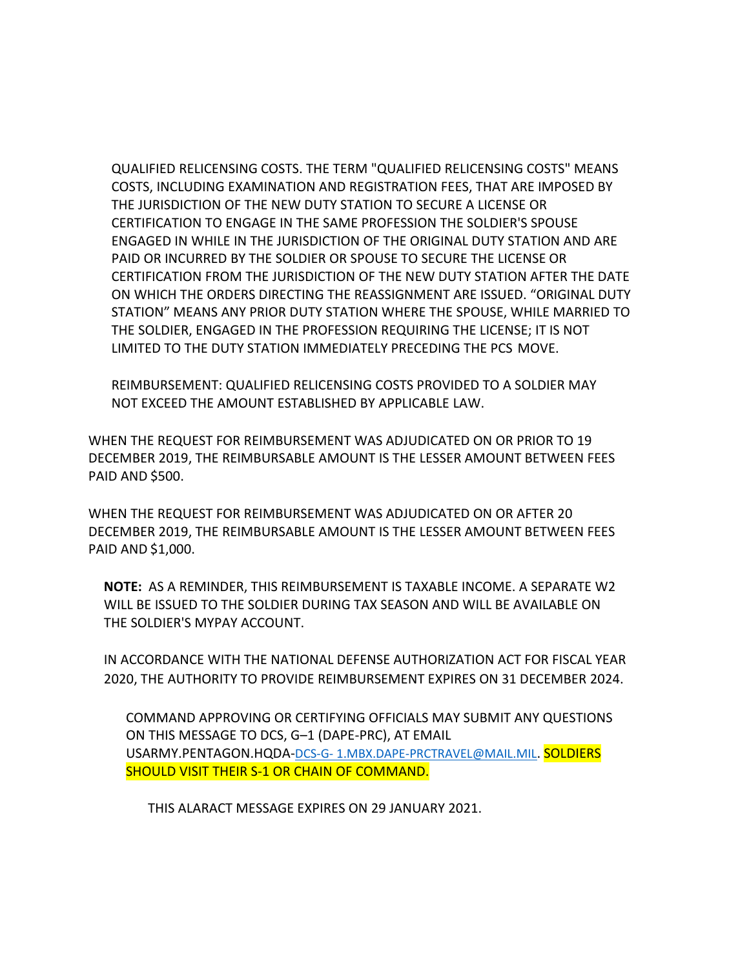QUALIFIED RELICENSING COSTS. THE TERM "QUALIFIED RELICENSING COSTS" MEANS COSTS, INCLUDING EXAMINATION AND REGISTRATION FEES, THAT ARE IMPOSED BY THE JURISDICTION OF THE NEW DUTY STATION TO SECURE A LICENSE OR CERTIFICATION TO ENGAGE IN THE SAME PROFESSION THE SOLDIER'S SPOUSE ENGAGED IN WHILE IN THE JURISDICTION OF THE ORIGINAL DUTY STATION AND ARE PAID OR INCURRED BY THE SOLDIER OR SPOUSE TO SECURE THE LICENSE OR CERTIFICATION FROM THE JURISDICTION OF THE NEW DUTY STATION AFTER THE DATE ON WHICH THE ORDERS DIRECTING THE REASSIGNMENT ARE ISSUED. "ORIGINAL DUTY STATION" MEANS ANY PRIOR DUTY STATION WHERE THE SPOUSE, WHILE MARRIED TO THE SOLDIER, ENGAGED IN THE PROFESSION REQUIRING THE LICENSE; IT IS NOT LIMITED TO THE DUTY STATION IMMEDIATELY PRECEDING THE PCS MOVE.

REIMBURSEMENT: QUALIFIED RELICENSING COSTS PROVIDED TO A SOLDIER MAY NOT EXCEED THE AMOUNT ESTABLISHED BY APPLICABLE LAW.

WHEN THE REQUEST FOR REIMBURSEMENT WAS ADJUDICATED ON OR PRIOR TO 19 DECEMBER 2019, THE REIMBURSABLE AMOUNT IS THE LESSER AMOUNT BETWEEN FEES PAID AND \$500.

WHEN THE REQUEST FOR REIMBURSEMENT WAS ADJUDICATED ON OR AFTER 20 DECEMBER 2019, THE REIMBURSABLE AMOUNT IS THE LESSER AMOUNT BETWEEN FEES PAID AND \$1,000.

**NOTE:** AS A REMINDER, THIS REIMBURSEMENT IS TAXABLE INCOME. A SEPARATE W2 WILL BE ISSUED TO THE SOLDIER DURING TAX SEASON AND WILL BE AVAILABLE ON THE SOLDIER'S MYPAY ACCOUNT.

IN ACCORDANCE WITH THE NATIONAL DEFENSE AUTHORIZATION ACT FOR FISCAL YEAR 2020, THE AUTHORITY TO PROVIDE REIMBURSEMENT EXPIRES ON 31 DECEMBER 2024.

COMMAND APPROVING OR CERTIFYING OFFICIALS MAY SUBMIT ANY QUESTIONS ON THIS MESSAGE TO DCS, G–1 (DAPE-PRC), AT EMAIL USARMY.PENTAGON.HQDA-DCS-G- [1.MBX.DAPE-PRCTRAVEL@MAIL.MIL.](mailto:1.MBX.DAPE-PRCTRAVEL@MAIL.MIL) SOLDIERS SHOULD VISIT THEIR S-1 OR CHAIN OF COMMAND.

THIS ALARACT MESSAGE EXPIRES ON 29 JANUARY 2021.